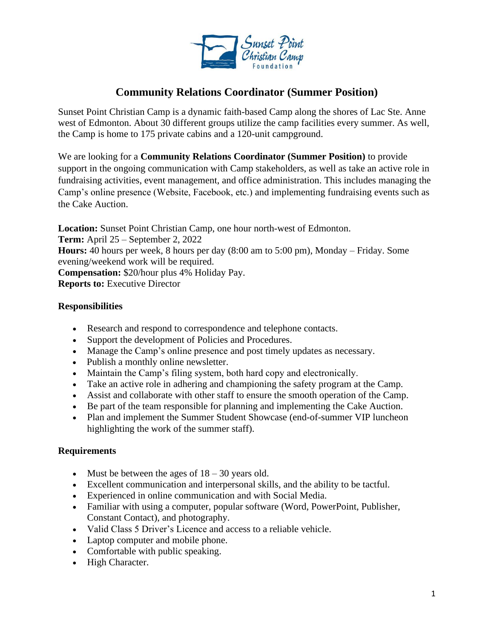

# **Community Relations Coordinator (Summer Position)**

Sunset Point Christian Camp is a dynamic faith-based Camp along the shores of Lac Ste. Anne west of Edmonton. About 30 different groups utilize the camp facilities every summer. As well, the Camp is home to 175 private cabins and a 120-unit campground.

We are looking for a **Community Relations Coordinator (Summer Position)** to provide support in the ongoing communication with Camp stakeholders, as well as take an active role in fundraising activities, event management, and office administration. This includes managing the Camp's online presence (Website, Facebook, etc.) and implementing fundraising events such as the Cake Auction.

**Location:** Sunset Point Christian Camp, one hour north-west of Edmonton. **Term:** April 25 – September 2, 2022 **Hours:** 40 hours per week, 8 hours per day (8:00 am to 5:00 pm), Monday – Friday. Some evening/weekend work will be required. **Compensation:** \$20/hour plus 4% Holiday Pay. **Reports to:** Executive Director

## **Responsibilities**

- Research and respond to correspondence and telephone contacts.
- Support the development of Policies and Procedures.
- Manage the Camp's online presence and post timely updates as necessary.
- Publish a monthly online newsletter.
- Maintain the Camp's filing system, both hard copy and electronically.
- Take an active role in adhering and championing the safety program at the Camp.
- Assist and collaborate with other staff to ensure the smooth operation of the Camp.
- Be part of the team responsible for planning and implementing the Cake Auction.
- Plan and implement the Summer Student Showcase (end-of-summer VIP luncheon highlighting the work of the summer staff).

# **Requirements**

- Must be between the ages of  $18 30$  years old.
- Excellent communication and interpersonal skills, and the ability to be tactful.
- Experienced in online communication and with Social Media.
- Familiar with using a computer, popular software (Word, PowerPoint, Publisher, Constant Contact), and photography.
- Valid Class 5 Driver's Licence and access to a reliable vehicle.
- Laptop computer and mobile phone.
- Comfortable with public speaking.
- High Character.